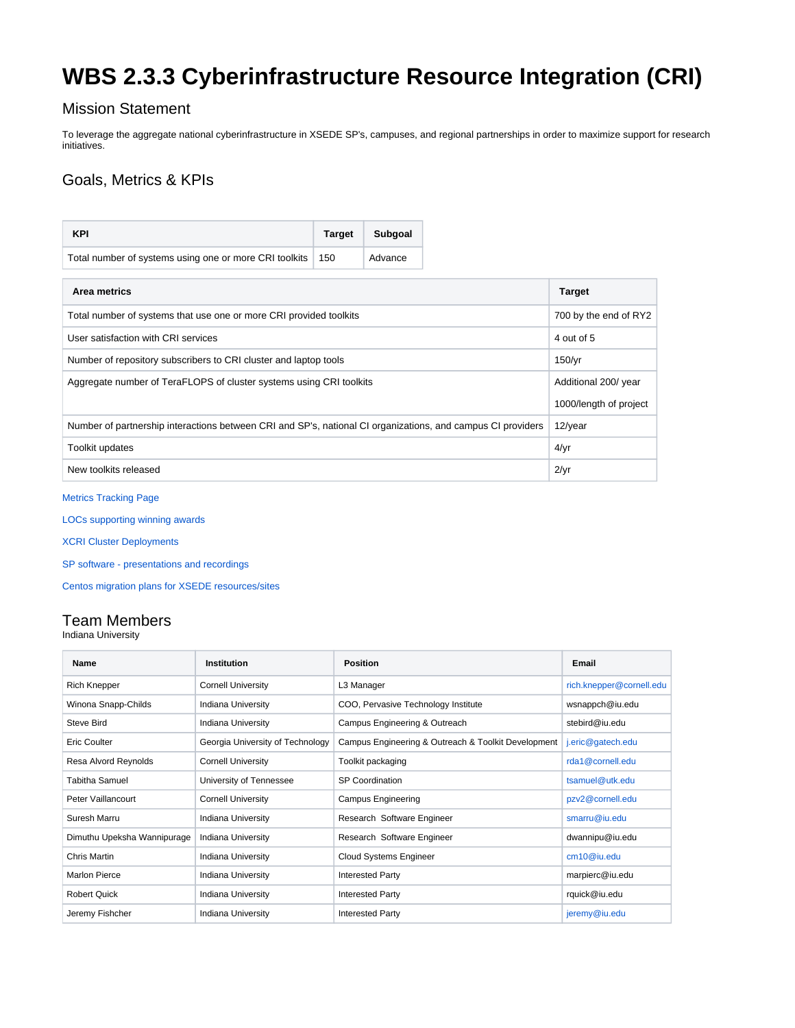# **WBS 2.3.3 Cyberinfrastructure Resource Integration (CRI)**

### Mission Statement

To leverage the aggregate national cyberinfrastructure in XSEDE SP's, campuses, and regional partnerships in order to maximize support for research initiatives.

# Goals, Metrics & KPIs

| <b>KPI</b>                                                                                                  | <b>Target</b> | Subgoal |  |  |
|-------------------------------------------------------------------------------------------------------------|---------------|---------|--|--|
| Total number of systems using one or more CRI toolkits                                                      | 150           | Advance |  |  |
| Area metrics                                                                                                |               |         |  |  |
| Total number of systems that use one or more CRI provided toolkits                                          |               |         |  |  |
| User satisfaction with CRI services                                                                         |               |         |  |  |
| Number of repository subscribers to CRI cluster and laptop tools                                            |               |         |  |  |
| Aggregate number of TeraFLOPS of cluster systems using CRI toolkits                                         |               |         |  |  |
|                                                                                                             |               |         |  |  |
| Number of partnership interactions between CRI and SP's, national CI organizations, and campus CI providers |               |         |  |  |
| Toolkit updates                                                                                             |               |         |  |  |
| New toolkits released                                                                                       |               |         |  |  |

#### [Metrics Tracking Page](https://confluence.xsede.org/display/XT/XCRI+KPIs+and+Metrics+tracking+page)

[LOCs supporting winning awards](https://confluence.xsede.org/display/XT/XCRI+Letters+of+Support+for+Campus+CI+activities)

[XCRI Cluster Deployments](https://confluence.xsede.org/display/XT/XCRI+Cluster+Deployments)

[SP software - presentations and recordings](https://confluence.xsede.org/display/XT/SP+software+-+presentations+and+recordings)

[Centos migration plans for XSEDE resources/sites](https://confluence.xsede.org/pages/viewpage.action?pageId=52143359)

## Team Members

Indiana University

| <b>Name</b>                 | Institution                      | <b>Position</b>                                     | Email                    |
|-----------------------------|----------------------------------|-----------------------------------------------------|--------------------------|
| <b>Rich Knepper</b>         | <b>Cornell University</b>        | L3 Manager                                          | rich.knepper@cornell.edu |
| Winona Snapp-Childs         | <b>Indiana University</b>        | COO, Pervasive Technology Institute                 | wsnappch@iu.edu          |
| Steve Bird                  | <b>Indiana University</b>        | Campus Engineering & Outreach                       | stebird@iu.edu           |
| Eric Coulter                | Georgia University of Technology | Campus Engineering & Outreach & Toolkit Development | j.eric@gatech.edu        |
| Resa Alvord Reynolds        | <b>Cornell University</b>        | Toolkit packaging                                   | rda1@cornell.edu         |
| <b>Tabitha Samuel</b>       | University of Tennessee          | <b>SP Coordination</b>                              | tsamuel@utk.edu          |
| Peter Vaillancourt          | <b>Cornell University</b>        | <b>Campus Engineering</b>                           | pzv2@cornell.edu         |
| Suresh Marru                | <b>Indiana University</b>        | Research Software Engineer                          | smarru@iu.edu            |
| Dimuthu Upeksha Wannipurage | <b>Indiana University</b>        | Research Software Engineer                          | dwannipu@iu.edu          |
| <b>Chris Martin</b>         | <b>Indiana University</b>        | <b>Cloud Systems Engineer</b>                       | cm10@iu.edu              |
| <b>Marlon Pierce</b>        | <b>Indiana University</b>        | <b>Interested Party</b>                             | marpierc@iu.edu          |
| <b>Robert Quick</b>         | Indiana University               | <b>Interested Party</b>                             | rquick@iu.edu            |
| Jeremy Fishcher             | <b>Indiana University</b>        | <b>Interested Party</b>                             | jeremy@iu.edu            |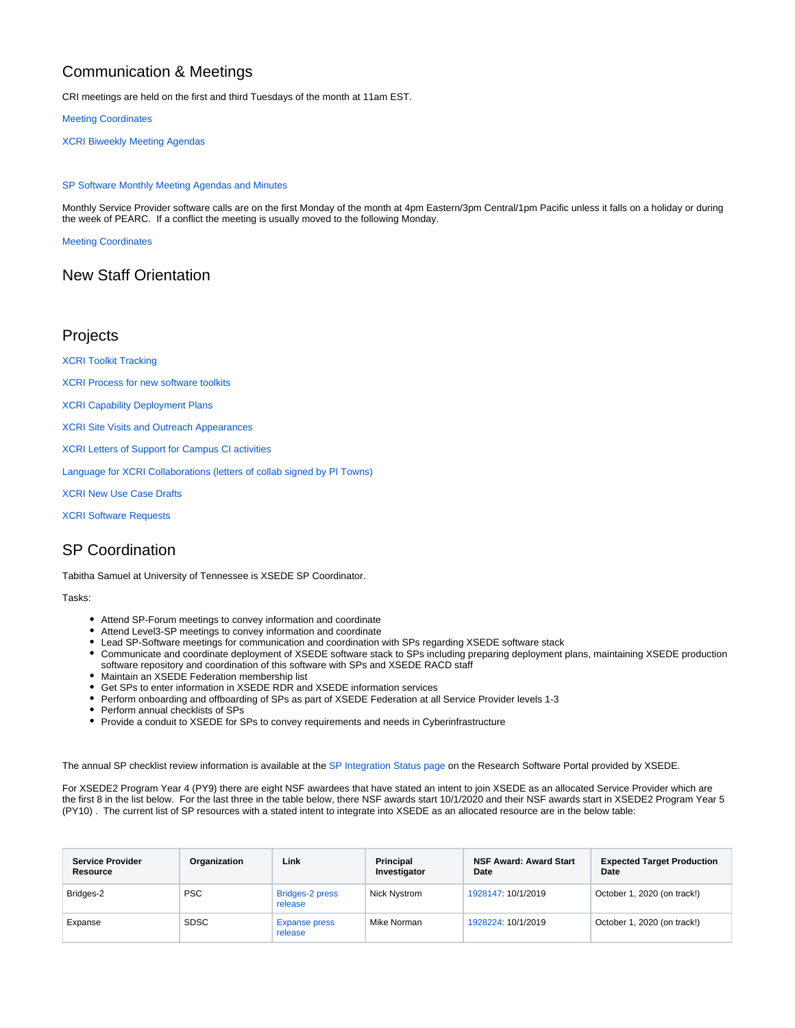# Communication & Meetings

CRI meetings are held on the first and third Tuesdays of the month at 11am EST.

[Meeting Coordinates](https://confluence.xsede.org/pages/editpage.action?pageId=5734524)

[XCRI Biweekly Meeting Agendas](https://confluence.xsede.org/display/XT/XCRI+Biweekly+Meeting+Agendas)

#### [SP Software Monthly Meeting Agendas and Minutes](https://confluence.xsede.org/display/XT/SP+Software+Monthly+Meeting+Notes)

Monthly Service Provider software calls are on the first Monday of the month at 4pm Eastern/3pm Central/1pm Pacific unless it falls on a holiday or during the week of PEARC. If a conflict the meeting is usually moved to the following Monday.

[Meeting Coordinates](https://confluence.xsede.org/display/XT/SP+Software+Monthly+Meeting+Agendas+and+Minutes)

#### New Staff Orientation

#### Projects

[XCRI Toolkit Tracking](https://confluence.xsede.org/display/XT/XCRI+Toolkit+Tracking)

[XCRI Process for new software toolkits](https://confluence.xsede.org/display/XT/XCRI+Process+for+new+software+toolkits)

[XCRI Capability Deployment Plans](https://confluence.xsede.org/display/XT/XCRI+Capability+Deployment+Plans)

[XCRI Site Visits and Outreach Appearances](https://confluence.xsede.org/display/XT/XCRI+Site+Visits+and+Outreach+Appearances)

[XCRI Letters of Support for Campus CI activities](https://confluence.xsede.org/display/XT/XCRI+Letters+of+Support+for+Campus+CI+activities)

[Language for XCRI Collaborations \(letters of collab signed by PI Towns\)](https://confluence.xsede.org/pages/viewpage.action?pageId=9636304)

[XCRI New Use Case Drafts](https://confluence.xsede.org/display/XT/XCRI+New+Use+Case+Drafts)

[XCRI Software Requests](https://confluence.xsede.org/display/XT/XCRI+Software+Requests)

### SP Coordination

Tabitha Samuel at University of Tennessee is XSEDE SP Coordinator.

Tasks:

- Attend SP-Forum meetings to convey information and coordinate
- Attend Level3-SP meetings to convey information and coordinate
- Lead SP-Software meetings for communication and coordination with SPs regarding XSEDE software stack
- Communicate and coordinate deployment of XSEDE software stack to SPs including preparing deployment plans, maintaining XSEDE production software repository and coordination of this software with SPs and XSEDE RACD staff
- Maintain an XSEDE Federation membership list
- Get SPs to enter information in XSEDE RDR and XSEDE information services
- Perform onboarding and offboarding of SPs as part of XSEDE Federation at all Service Provider levels 1-3
- Perform annual checklists of SPs
- Provide a conduit to XSEDE for SPs to convey requirements and needs in Cyberinfrastructure

The annual SP checklist review information is available at the [SP Integration Status page](https://software.xsede.org/sp-resource-integration-status) on the Research Software Portal provided by XSEDE.

For XSEDE2 Program Year 4 (PY9) there are eight NSF awardees that have stated an intent to join XSEDE as an allocated Service Provider which are the first 8 in the list below. For the last three in the table below, there NSF awards start 10/1/2020 and their NSF awards start in XSEDE2 Program Year 5 (PY10) . The current list of SP resources with a stated intent to integrate into XSEDE as an allocated resource are in the below table:

| <b>Service Provider</b><br>Resource | Organization | Link                            | <b>Principal</b><br>Investigator | <b>NSF Award: Award Start</b><br>Date | <b>Expected Target Production</b><br>Date |
|-------------------------------------|--------------|---------------------------------|----------------------------------|---------------------------------------|-------------------------------------------|
| Bridges-2                           | <b>PSC</b>   | Bridges-2 press<br>release      | Nick Nystrom                     | 1928147: 10/1/2019                    | October 1, 2020 (on track!)               |
| Expanse                             | <b>SDSC</b>  | <b>Expanse press</b><br>release | Mike Norman                      | 1928224: 10/1/2019                    | October 1, 2020 (on track!)               |